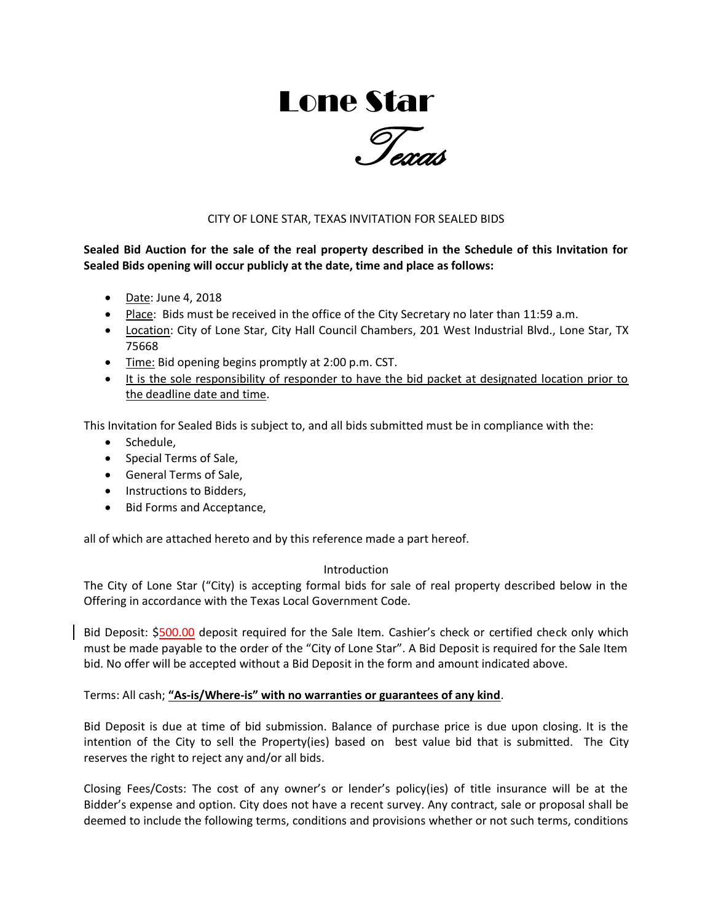# Lone Star



# CITY OF LONE STAR, TEXAS INVITATION FOR SEALED BIDS

**Sealed Bid Auction for the sale of the real property described in the Schedule of this Invitation for Sealed Bids opening will occur publicly at the date, time and place as follows:** 

- Date: June 4, 2018
- Place: Bids must be received in the office of the City Secretary no later than 11:59 a.m.
- Location: City of Lone Star, City Hall Council Chambers, 201 West Industrial Blvd., Lone Star, TX 75668
- Time: Bid opening begins promptly at 2:00 p.m. CST.
- It is the sole responsibility of responder to have the bid packet at designated location prior to the deadline date and time.

This Invitation for Sealed Bids is subject to, and all bids submitted must be in compliance with the:

- Schedule,
- Special Terms of Sale,
- General Terms of Sale,
- Instructions to Bidders,
- Bid Forms and Acceptance,

all of which are attached hereto and by this reference made a part hereof.

# Introduction

The City of Lone Star ("City) is accepting formal bids for sale of real property described below in the Offering in accordance with the Texas Local Government Code.

Bid Deposit: \$500.00 deposit required for the Sale Item. Cashier's check or certified check only which must be made payable to the order of the "City of Lone Star". A Bid Deposit is required for the Sale Item bid. No offer will be accepted without a Bid Deposit in the form and amount indicated above.

Terms: All cash; **"As-is/Where-is" with no warranties or guarantees of any kind**.

Bid Deposit is due at time of bid submission. Balance of purchase price is due upon closing. It is the intention of the City to sell the Property(ies) based on best value bid that is submitted. The City reserves the right to reject any and/or all bids.

Closing Fees/Costs: The cost of any owner's or lender's policy(ies) of title insurance will be at the Bidder's expense and option. City does not have a recent survey. Any contract, sale or proposal shall be deemed to include the following terms, conditions and provisions whether or not such terms, conditions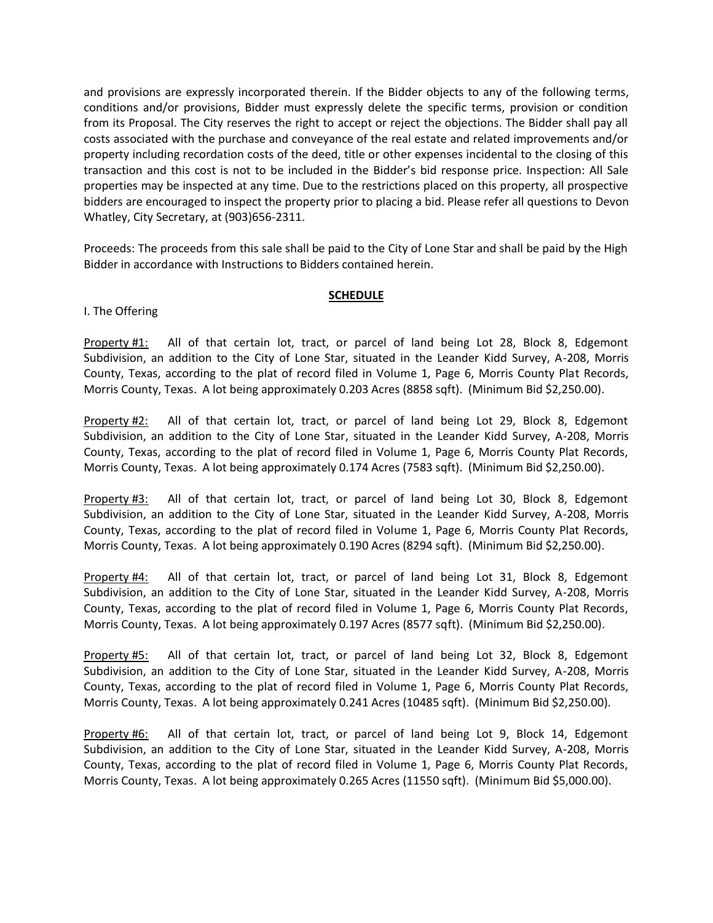and provisions are expressly incorporated therein. If the Bidder objects to any of the following terms, conditions and/or provisions, Bidder must expressly delete the specific terms, provision or condition from its Proposal. The City reserves the right to accept or reject the objections. The Bidder shall pay all costs associated with the purchase and conveyance of the real estate and related improvements and/or property including recordation costs of the deed, title or other expenses incidental to the closing of this transaction and this cost is not to be included in the Bidder's bid response price. Inspection: All Sale properties may be inspected at any time. Due to the restrictions placed on this property, all prospective bidders are encouraged to inspect the property prior to placing a bid. Please refer all questions to Devon Whatley, City Secretary, at (903)656-2311.

Proceeds: The proceeds from this sale shall be paid to the City of Lone Star and shall be paid by the High Bidder in accordance with Instructions to Bidders contained herein.

#### **SCHEDULE**

#### I. The Offering

Property #1: All of that certain lot, tract, or parcel of land being Lot 28, Block 8, Edgemont Subdivision, an addition to the City of Lone Star, situated in the Leander Kidd Survey, A-208, Morris County, Texas, according to the plat of record filed in Volume 1, Page 6, Morris County Plat Records, Morris County, Texas. A lot being approximately 0.203 Acres (8858 sqft). (Minimum Bid \$2,250.00).

Property #2: All of that certain lot, tract, or parcel of land being Lot 29, Block 8, Edgemont Subdivision, an addition to the City of Lone Star, situated in the Leander Kidd Survey, A-208, Morris County, Texas, according to the plat of record filed in Volume 1, Page 6, Morris County Plat Records, Morris County, Texas. A lot being approximately 0.174 Acres (7583 sqft). (Minimum Bid \$2,250.00).

Property #3: All of that certain lot, tract, or parcel of land being Lot 30, Block 8, Edgemont Subdivision, an addition to the City of Lone Star, situated in the Leander Kidd Survey, A-208, Morris County, Texas, according to the plat of record filed in Volume 1, Page 6, Morris County Plat Records, Morris County, Texas. A lot being approximately 0.190 Acres (8294 sqft). (Minimum Bid \$2,250.00).

Property #4: All of that certain lot, tract, or parcel of land being Lot 31, Block 8, Edgemont Subdivision, an addition to the City of Lone Star, situated in the Leander Kidd Survey, A-208, Morris County, Texas, according to the plat of record filed in Volume 1, Page 6, Morris County Plat Records, Morris County, Texas. A lot being approximately 0.197 Acres (8577 sqft). (Minimum Bid \$2,250.00).

Property #5: All of that certain lot, tract, or parcel of land being Lot 32, Block 8, Edgemont Subdivision, an addition to the City of Lone Star, situated in the Leander Kidd Survey, A-208, Morris County, Texas, according to the plat of record filed in Volume 1, Page 6, Morris County Plat Records, Morris County, Texas. A lot being approximately 0.241 Acres (10485 sqft). (Minimum Bid \$2,250.00).

Property #6: All of that certain lot, tract, or parcel of land being Lot 9, Block 14, Edgemont Subdivision, an addition to the City of Lone Star, situated in the Leander Kidd Survey, A-208, Morris County, Texas, according to the plat of record filed in Volume 1, Page 6, Morris County Plat Records, Morris County, Texas. A lot being approximately 0.265 Acres (11550 sqft). (Minimum Bid \$5,000.00).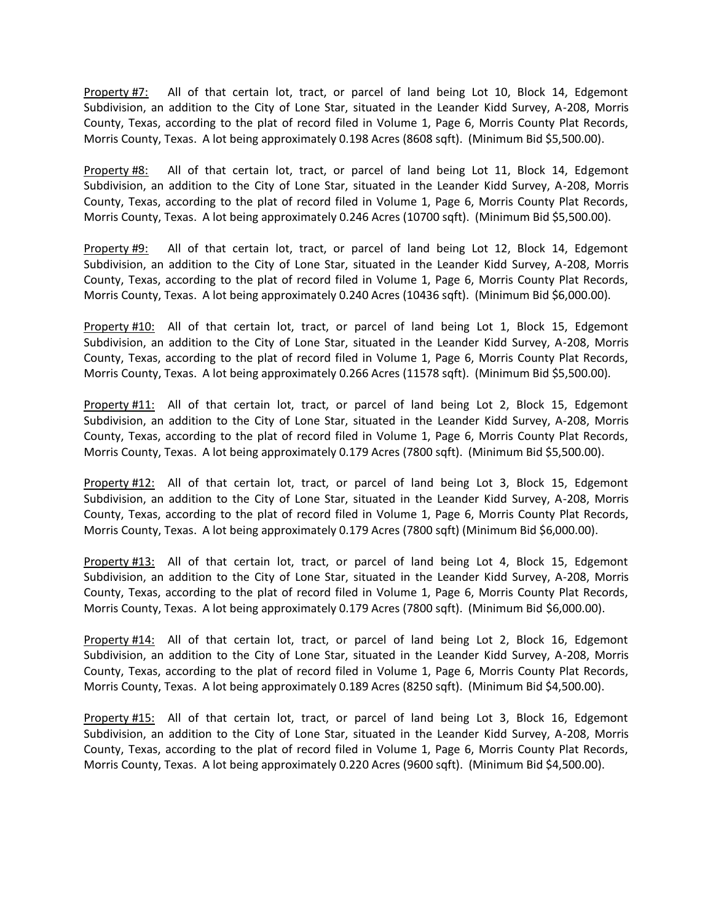Property #7: All of that certain lot, tract, or parcel of land being Lot 10, Block 14, Edgemont Subdivision, an addition to the City of Lone Star, situated in the Leander Kidd Survey, A-208, Morris County, Texas, according to the plat of record filed in Volume 1, Page 6, Morris County Plat Records, Morris County, Texas. A lot being approximately 0.198 Acres (8608 sqft). (Minimum Bid \$5,500.00).

Property #8: All of that certain lot, tract, or parcel of land being Lot 11, Block 14, Edgemont Subdivision, an addition to the City of Lone Star, situated in the Leander Kidd Survey, A-208, Morris County, Texas, according to the plat of record filed in Volume 1, Page 6, Morris County Plat Records, Morris County, Texas. A lot being approximately 0.246 Acres (10700 sqft). (Minimum Bid \$5,500.00).

Property #9: All of that certain lot, tract, or parcel of land being Lot 12, Block 14, Edgemont Subdivision, an addition to the City of Lone Star, situated in the Leander Kidd Survey, A-208, Morris County, Texas, according to the plat of record filed in Volume 1, Page 6, Morris County Plat Records, Morris County, Texas. A lot being approximately 0.240 Acres (10436 sqft). (Minimum Bid \$6,000.00).

Property #10: All of that certain lot, tract, or parcel of land being Lot 1, Block 15, Edgemont Subdivision, an addition to the City of Lone Star, situated in the Leander Kidd Survey, A-208, Morris County, Texas, according to the plat of record filed in Volume 1, Page 6, Morris County Plat Records, Morris County, Texas. A lot being approximately 0.266 Acres (11578 sqft). (Minimum Bid \$5,500.00).

Property #11: All of that certain lot, tract, or parcel of land being Lot 2, Block 15, Edgemont Subdivision, an addition to the City of Lone Star, situated in the Leander Kidd Survey, A-208, Morris County, Texas, according to the plat of record filed in Volume 1, Page 6, Morris County Plat Records, Morris County, Texas. A lot being approximately 0.179 Acres (7800 sqft). (Minimum Bid \$5,500.00).

Property #12: All of that certain lot, tract, or parcel of land being Lot 3, Block 15, Edgemont Subdivision, an addition to the City of Lone Star, situated in the Leander Kidd Survey, A-208, Morris County, Texas, according to the plat of record filed in Volume 1, Page 6, Morris County Plat Records, Morris County, Texas. A lot being approximately 0.179 Acres (7800 sqft) (Minimum Bid \$6,000.00).

Property #13: All of that certain lot, tract, or parcel of land being Lot 4, Block 15, Edgemont Subdivision, an addition to the City of Lone Star, situated in the Leander Kidd Survey, A-208, Morris County, Texas, according to the plat of record filed in Volume 1, Page 6, Morris County Plat Records, Morris County, Texas. A lot being approximately 0.179 Acres (7800 sqft). (Minimum Bid \$6,000.00).

Property #14: All of that certain lot, tract, or parcel of land being Lot 2, Block 16, Edgemont Subdivision, an addition to the City of Lone Star, situated in the Leander Kidd Survey, A-208, Morris County, Texas, according to the plat of record filed in Volume 1, Page 6, Morris County Plat Records, Morris County, Texas. A lot being approximately 0.189 Acres (8250 sqft). (Minimum Bid \$4,500.00).

Property #15: All of that certain lot, tract, or parcel of land being Lot 3, Block 16, Edgemont Subdivision, an addition to the City of Lone Star, situated in the Leander Kidd Survey, A-208, Morris County, Texas, according to the plat of record filed in Volume 1, Page 6, Morris County Plat Records, Morris County, Texas. A lot being approximately 0.220 Acres (9600 sqft). (Minimum Bid \$4,500.00).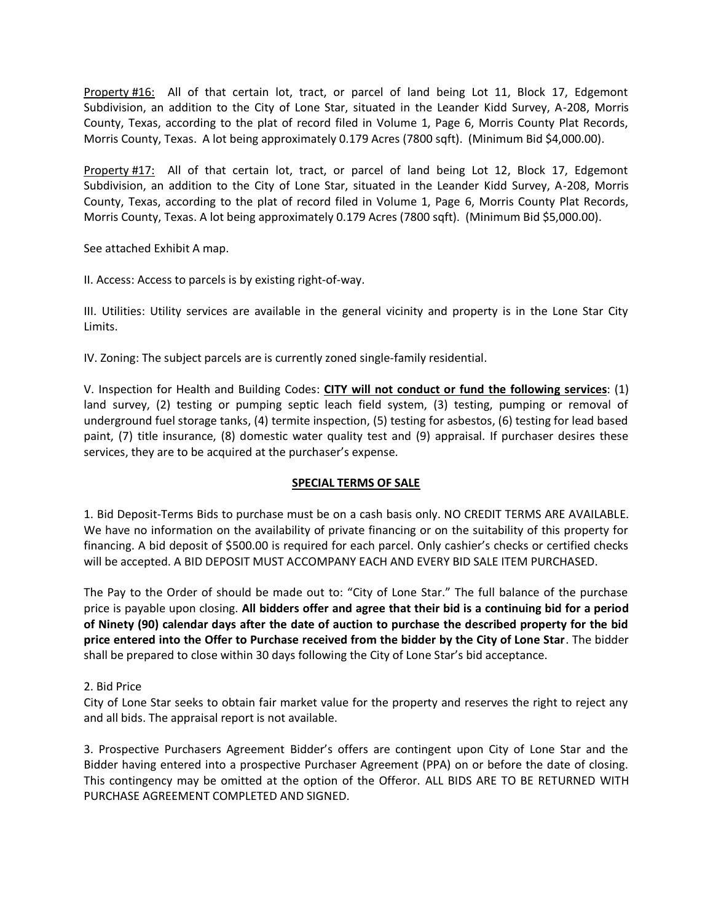Property #16: All of that certain lot, tract, or parcel of land being Lot 11, Block 17, Edgemont Subdivision, an addition to the City of Lone Star, situated in the Leander Kidd Survey, A-208, Morris County, Texas, according to the plat of record filed in Volume 1, Page 6, Morris County Plat Records, Morris County, Texas. A lot being approximately 0.179 Acres (7800 sqft). (Minimum Bid \$4,000.00).

Property #17: All of that certain lot, tract, or parcel of land being Lot 12, Block 17, Edgemont Subdivision, an addition to the City of Lone Star, situated in the Leander Kidd Survey, A-208, Morris County, Texas, according to the plat of record filed in Volume 1, Page 6, Morris County Plat Records, Morris County, Texas. A lot being approximately 0.179 Acres (7800 sqft). (Minimum Bid \$5,000.00).

See attached Exhibit A map.

II. Access: Access to parcels is by existing right-of-way.

III. Utilities: Utility services are available in the general vicinity and property is in the Lone Star City Limits.

IV. Zoning: The subject parcels are is currently zoned single-family residential.

V. Inspection for Health and Building Codes: **CITY will not conduct or fund the following services**: (1) land survey, (2) testing or pumping septic leach field system, (3) testing, pumping or removal of underground fuel storage tanks, (4) termite inspection, (5) testing for asbestos, (6) testing for lead based paint, (7) title insurance, (8) domestic water quality test and (9) appraisal. If purchaser desires these services, they are to be acquired at the purchaser's expense.

# **SPECIAL TERMS OF SALE**

1. Bid Deposit-Terms Bids to purchase must be on a cash basis only. NO CREDIT TERMS ARE AVAILABLE. We have no information on the availability of private financing or on the suitability of this property for financing. A bid deposit of \$500.00 is required for each parcel. Only cashier's checks or certified checks will be accepted. A BID DEPOSIT MUST ACCOMPANY EACH AND EVERY BID SALE ITEM PURCHASED.

The Pay to the Order of should be made out to: "City of Lone Star." The full balance of the purchase price is payable upon closing. **All bidders offer and agree that their bid is a continuing bid for a period of Ninety (90) calendar days after the date of auction to purchase the described property for the bid price entered into the Offer to Purchase received from the bidder by the City of Lone Star**. The bidder shall be prepared to close within 30 days following the City of Lone Star's bid acceptance.

# 2. Bid Price

City of Lone Star seeks to obtain fair market value for the property and reserves the right to reject any and all bids. The appraisal report is not available.

3. Prospective Purchasers Agreement Bidder's offers are contingent upon City of Lone Star and the Bidder having entered into a prospective Purchaser Agreement (PPA) on or before the date of closing. This contingency may be omitted at the option of the Offeror. ALL BIDS ARE TO BE RETURNED WITH PURCHASE AGREEMENT COMPLETED AND SIGNED.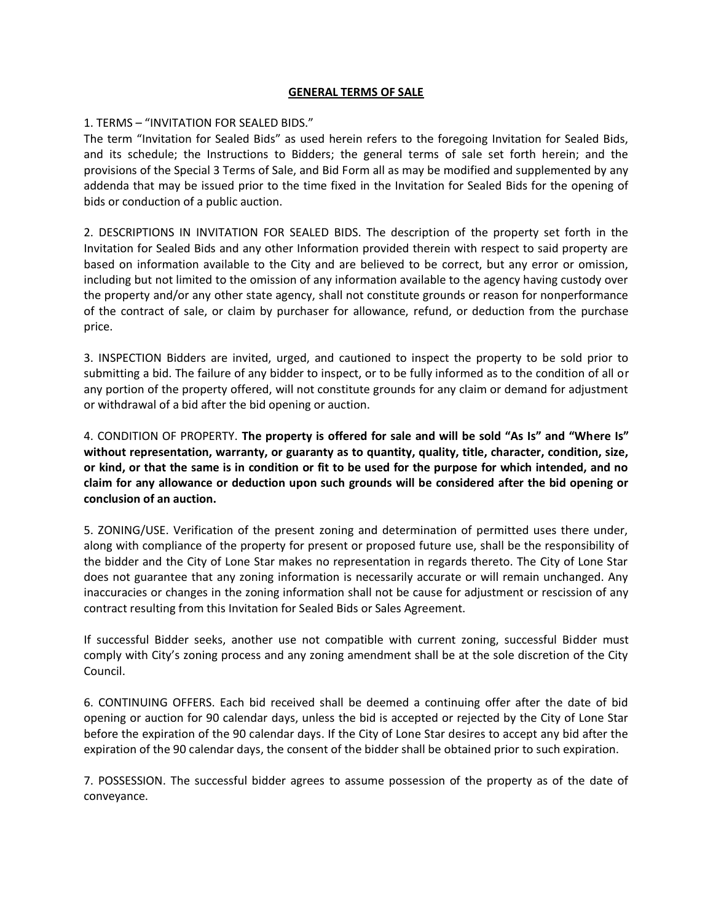## **GENERAL TERMS OF SALE**

## 1. TERMS – "INVITATION FOR SEALED BIDS."

The term "Invitation for Sealed Bids" as used herein refers to the foregoing Invitation for Sealed Bids, and its schedule; the Instructions to Bidders; the general terms of sale set forth herein; and the provisions of the Special 3 Terms of Sale, and Bid Form all as may be modified and supplemented by any addenda that may be issued prior to the time fixed in the Invitation for Sealed Bids for the opening of bids or conduction of a public auction.

2. DESCRIPTIONS IN INVITATION FOR SEALED BIDS. The description of the property set forth in the Invitation for Sealed Bids and any other Information provided therein with respect to said property are based on information available to the City and are believed to be correct, but any error or omission, including but not limited to the omission of any information available to the agency having custody over the property and/or any other state agency, shall not constitute grounds or reason for nonperformance of the contract of sale, or claim by purchaser for allowance, refund, or deduction from the purchase price.

3. INSPECTION Bidders are invited, urged, and cautioned to inspect the property to be sold prior to submitting a bid. The failure of any bidder to inspect, or to be fully informed as to the condition of all or any portion of the property offered, will not constitute grounds for any claim or demand for adjustment or withdrawal of a bid after the bid opening or auction.

4. CONDITION OF PROPERTY. **The property is offered for sale and will be sold "As Is" and "Where Is" without representation, warranty, or guaranty as to quantity, quality, title, character, condition, size, or kind, or that the same is in condition or fit to be used for the purpose for which intended, and no claim for any allowance or deduction upon such grounds will be considered after the bid opening or conclusion of an auction.**

5. ZONING/USE. Verification of the present zoning and determination of permitted uses there under, along with compliance of the property for present or proposed future use, shall be the responsibility of the bidder and the City of Lone Star makes no representation in regards thereto. The City of Lone Star does not guarantee that any zoning information is necessarily accurate or will remain unchanged. Any inaccuracies or changes in the zoning information shall not be cause for adjustment or rescission of any contract resulting from this Invitation for Sealed Bids or Sales Agreement.

If successful Bidder seeks, another use not compatible with current zoning, successful Bidder must comply with City's zoning process and any zoning amendment shall be at the sole discretion of the City Council.

6. CONTINUING OFFERS. Each bid received shall be deemed a continuing offer after the date of bid opening or auction for 90 calendar days, unless the bid is accepted or rejected by the City of Lone Star before the expiration of the 90 calendar days. If the City of Lone Star desires to accept any bid after the expiration of the 90 calendar days, the consent of the bidder shall be obtained prior to such expiration.

7. POSSESSION. The successful bidder agrees to assume possession of the property as of the date of conveyance.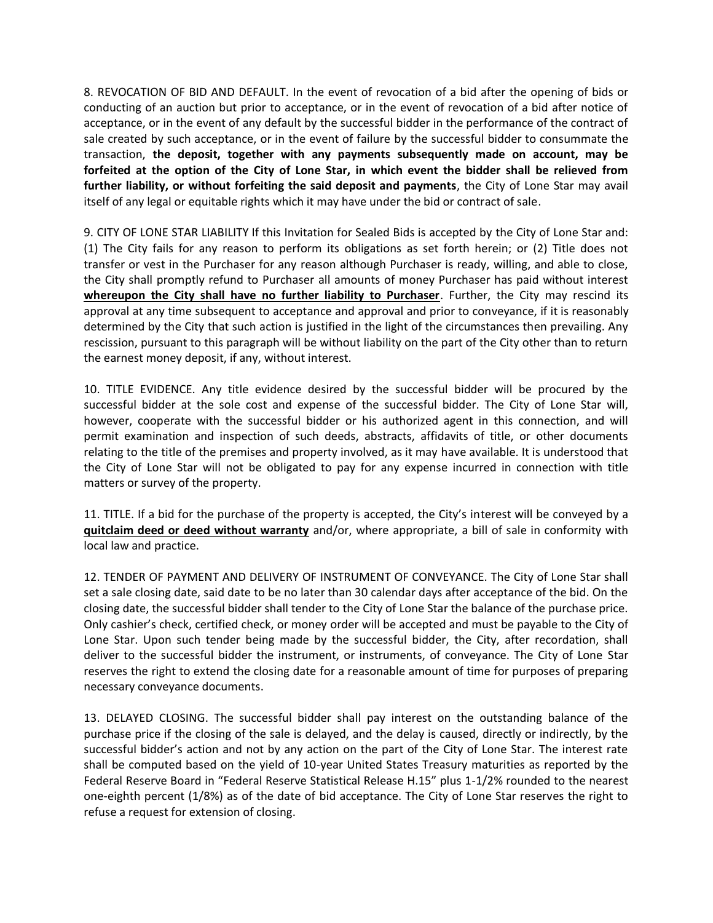8. REVOCATION OF BID AND DEFAULT. In the event of revocation of a bid after the opening of bids or conducting of an auction but prior to acceptance, or in the event of revocation of a bid after notice of acceptance, or in the event of any default by the successful bidder in the performance of the contract of sale created by such acceptance, or in the event of failure by the successful bidder to consummate the transaction, **the deposit, together with any payments subsequently made on account, may be forfeited at the option of the City of Lone Star, in which event the bidder shall be relieved from further liability, or without forfeiting the said deposit and payments**, the City of Lone Star may avail itself of any legal or equitable rights which it may have under the bid or contract of sale.

9. CITY OF LONE STAR LIABILITY If this Invitation for Sealed Bids is accepted by the City of Lone Star and: (1) The City fails for any reason to perform its obligations as set forth herein; or (2) Title does not transfer or vest in the Purchaser for any reason although Purchaser is ready, willing, and able to close, the City shall promptly refund to Purchaser all amounts of money Purchaser has paid without interest **whereupon the City shall have no further liability to Purchaser**. Further, the City may rescind its approval at any time subsequent to acceptance and approval and prior to conveyance, if it is reasonably determined by the City that such action is justified in the light of the circumstances then prevailing. Any rescission, pursuant to this paragraph will be without liability on the part of the City other than to return the earnest money deposit, if any, without interest.

10. TITLE EVIDENCE. Any title evidence desired by the successful bidder will be procured by the successful bidder at the sole cost and expense of the successful bidder. The City of Lone Star will, however, cooperate with the successful bidder or his authorized agent in this connection, and will permit examination and inspection of such deeds, abstracts, affidavits of title, or other documents relating to the title of the premises and property involved, as it may have available. It is understood that the City of Lone Star will not be obligated to pay for any expense incurred in connection with title matters or survey of the property.

11. TITLE. If a bid for the purchase of the property is accepted, the City's interest will be conveyed by a **quitclaim deed or deed without warranty** and/or, where appropriate, a bill of sale in conformity with local law and practice.

12. TENDER OF PAYMENT AND DELIVERY OF INSTRUMENT OF CONVEYANCE. The City of Lone Star shall set a sale closing date, said date to be no later than 30 calendar days after acceptance of the bid. On the closing date, the successful bidder shall tender to the City of Lone Star the balance of the purchase price. Only cashier's check, certified check, or money order will be accepted and must be payable to the City of Lone Star. Upon such tender being made by the successful bidder, the City, after recordation, shall deliver to the successful bidder the instrument, or instruments, of conveyance. The City of Lone Star reserves the right to extend the closing date for a reasonable amount of time for purposes of preparing necessary conveyance documents.

13. DELAYED CLOSING. The successful bidder shall pay interest on the outstanding balance of the purchase price if the closing of the sale is delayed, and the delay is caused, directly or indirectly, by the successful bidder's action and not by any action on the part of the City of Lone Star. The interest rate shall be computed based on the yield of 10-year United States Treasury maturities as reported by the Federal Reserve Board in "Federal Reserve Statistical Release H.15" plus 1-1/2% rounded to the nearest one-eighth percent (1/8%) as of the date of bid acceptance. The City of Lone Star reserves the right to refuse a request for extension of closing.